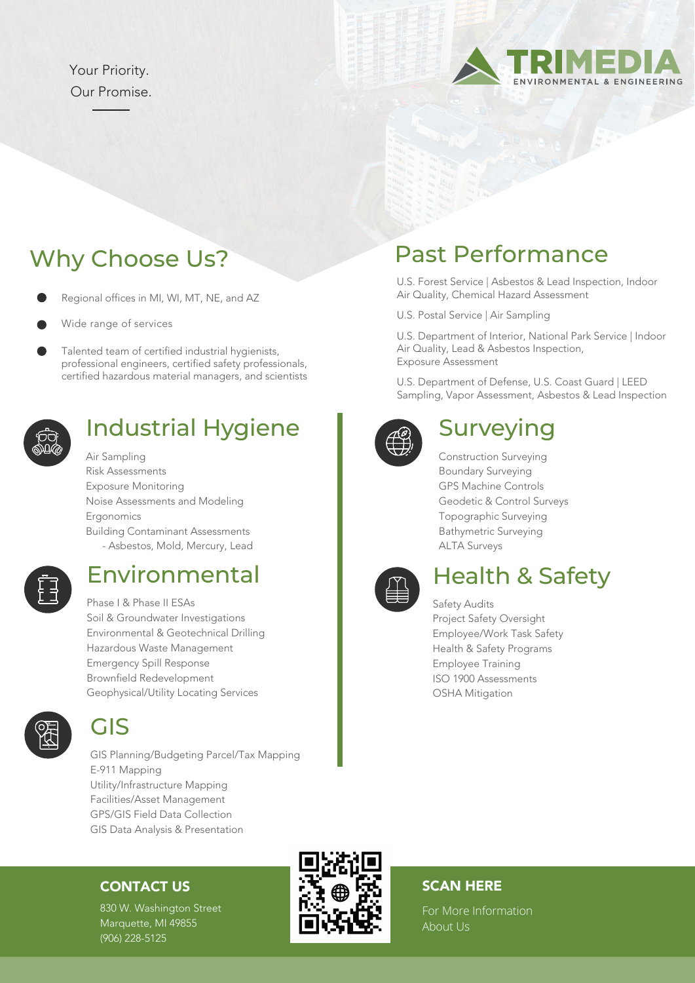#### Your Priority. Our Promise.



- Regional offices in MI, WI, MT, NE, and AZ
- Wide range of services
- Talented team of certified industrial hygienists, professional engineers, certified safety professionals, certified hazardous material managers, and scientists



#### Industrial Hygiene

Air Sampling Risk Assessments Exposure Monitoring Noise Assessments and Modeling Ergonomics Building Contaminant Assessments - Asbestos, Mold, Mercury, Lead

#### Environmental

Phase I & Phase II ESAs Soil & Groundwater Investigations Environmental & Geotechnical Drilling Hazardous Waste Management Emergency Spill Response Brownfield Redevelopment Geophysical/Utility Locating Services



#### GIS

GIS Planning/Budgeting Parcel/Tax Mapping E-911 Mapping Utility/Infrastructure Mapping Facilities/Asset Management GPS/GIS Field Data Collection GIS Data Analysis & Presentation

#### CONTACT US

830 W. Washington Street Marquette, MI 49855 (906) 228-5125

#### SCAN HERE

For More Information About Us

## Why Choose Us? Past Performance

U.S. Forest Service | Asbestos & Lead Inspection, Indoor Air Quality, Chemical Hazard Assessment

U.S. Postal Service | Air Sampling

U.S. Department of Interior, National Park Service | Indoor Air Quality, Lead & Asbestos Inspection, Exposure Assessment

U.S. Department of Defense, U.S. Coast Guard | LEED Sampling, Vapor Assessment, Asbestos & Lead Inspection



#### **Surveying**

Construction Surveying Boundary Surveying GPS Machine Controls Geodetic & Control Surveys Topographic Surveying Bathymetric Surveying ALTA Surveys



## Health & Safety

Safety Audits Project Safety Oversight Employee/Work Task Safety Health & Safety Programs Employee Training ISO 1900 Assessments OSHA Mitigation